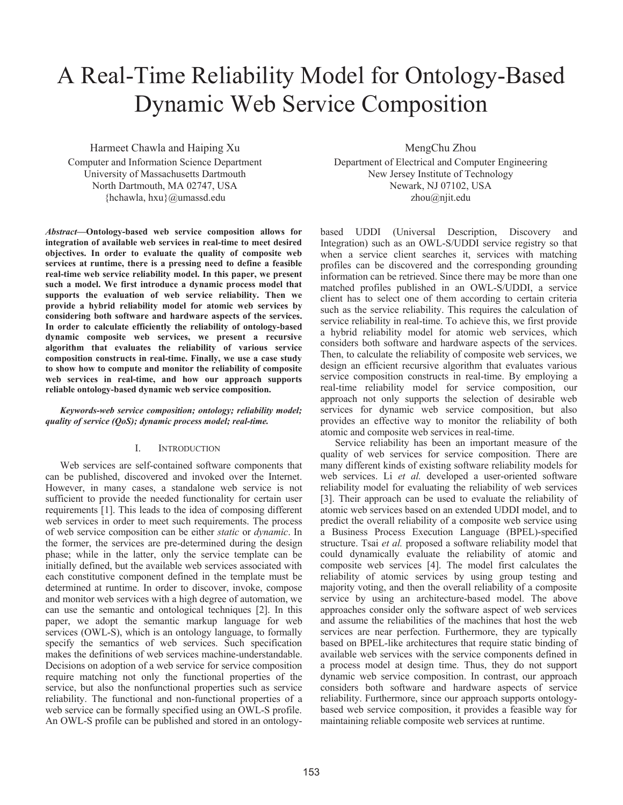# A Real-Time Reliability Model for Ontology-Based Dynamic Web Service Composition

Harmeet Chawla and Haiping Xu Computer and Information Science Department University of Massachusetts Dartmouth North Dartmouth, MA 02747, USA {hchawla, hxu}@umassd.edu

*Abstract***—Ontology-based web service composition allows for integration of available web services in real-time to meet desired objectives. In order to evaluate the quality of composite web services at runtime, there is a pressing need to define a feasible real-time web service reliability model. In this paper, we present such a model. We first introduce a dynamic process model that supports the evaluation of web service reliability. Then we provide a hybrid reliability model for atomic web services by considering both software and hardware aspects of the services. In order to calculate efficiently the reliability of ontology-based dynamic composite web services, we present a recursive algorithm that evaluates the reliability of various service composition constructs in real-time. Finally, we use a case study to show how to compute and monitor the reliability of composite web services in real-time, and how our approach supports reliable ontology-based dynamic web service composition.** 

*Keywords-web service composition; ontology; reliability model; quality of service (QoS); dynamic process model; real-time.* 

# I. INTRODUCTION

Web services are self-contained software components that can be published, discovered and invoked over the Internet. However, in many cases, a standalone web service is not sufficient to provide the needed functionality for certain user requirements [1]. This leads to the idea of composing different web services in order to meet such requirements. The process of web service composition can be either *static* or *dynamic*. In the former, the services are pre-determined during the design phase; while in the latter, only the service template can be initially defined, but the available web services associated with each constitutive component defined in the template must be determined at runtime. In order to discover, invoke, compose and monitor web services with a high degree of automation, we can use the semantic and ontological techniques [2]. In this paper, we adopt the semantic markup language for web services (OWL-S), which is an ontology language, to formally specify the semantics of web services. Such specification makes the definitions of web services machine-understandable. Decisions on adoption of a web service for service composition require matching not only the functional properties of the service, but also the nonfunctional properties such as service reliability. The functional and non-functional properties of a web service can be formally specified using an OWL-S profile. An OWL-S profile can be published and stored in an ontology-

MengChu Zhou Department of Electrical and Computer Engineering New Jersey Institute of Technology

Newark, NJ 07102, USA

zhou@njit.edu

based UDDI (Universal Description, Discovery and Integration) such as an OWL-S/UDDI service registry so that when a service client searches it, services with matching profiles can be discovered and the corresponding grounding information can be retrieved. Since there may be more than one matched profiles published in an OWL-S/UDDI, a service client has to select one of them according to certain criteria such as the service reliability. This requires the calculation of service reliability in real-time. To achieve this, we first provide a hybrid reliability model for atomic web services, which considers both software and hardware aspects of the services. Then, to calculate the reliability of composite web services, we design an efficient recursive algorithm that evaluates various service composition constructs in real-time. By employing a real-time reliability model for service composition, our approach not only supports the selection of desirable web services for dynamic web service composition, but also provides an effective way to monitor the reliability of both atomic and composite web services in real-time.

Service reliability has been an important measure of the quality of web services for service composition. There are many different kinds of existing software reliability models for web services. Li *et al.* developed a user-oriented software reliability model for evaluating the reliability of web services [3]. Their approach can be used to evaluate the reliability of atomic web services based on an extended UDDI model, and to predict the overall reliability of a composite web service using a Business Process Execution Language (BPEL)-specified structure. Tsai *et al.* proposed a software reliability model that could dynamically evaluate the reliability of atomic and composite web services [4]. The model first calculates the reliability of atomic services by using group testing and majority voting, and then the overall reliability of a composite service by using an architecture-based model. The above approaches consider only the software aspect of web services and assume the reliabilities of the machines that host the web services are near perfection. Furthermore, they are typically based on BPEL-like architectures that require static binding of available web services with the service components defined in a process model at design time. Thus, they do not support dynamic web service composition. In contrast, our approach considers both software and hardware aspects of service reliability. Furthermore, since our approach supports ontologybased web service composition, it provides a feasible way for maintaining reliable composite web services at runtime.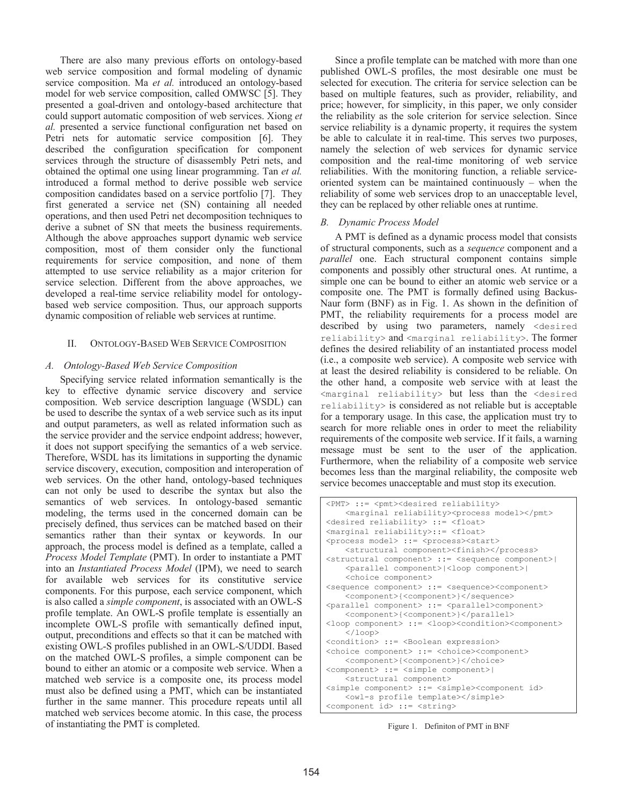There are also many previous efforts on ontology-based web service composition and formal modeling of dynamic service composition. Ma *et al.* introduced an ontology-based model for web service composition, called OMWSC [5]. They presented a goal-driven and ontology-based architecture that could support automatic composition of web services. Xiong *et al.* presented a service functional configuration net based on Petri nets for automatic service composition [6]. They described the configuration specification for component services through the structure of disassembly Petri nets, and obtained the optimal one using linear programming. Tan *et al.* introduced a formal method to derive possible web service composition candidates based on a service portfolio [7]. They first generated a service net (SN) containing all needed operations, and then used Petri net decomposition techniques to derive a subnet of SN that meets the business requirements. Although the above approaches support dynamic web service composition, most of them consider only the functional requirements for service composition, and none of them attempted to use service reliability as a major criterion for service selection. Different from the above approaches, we developed a real-time service reliability model for ontologybased web service composition. Thus, our approach supports dynamic composition of reliable web services at runtime.

# II. ONTOLOGY-BASED WEB SERVICE COMPOSITION

# *A. Ontology-Based Web Service Composition*

Specifying service related information semantically is the key to effective dynamic service discovery and service composition. Web service description language (WSDL) can be used to describe the syntax of a web service such as its input and output parameters, as well as related information such as the service provider and the service endpoint address; however, it does not support specifying the semantics of a web service. Therefore, WSDL has its limitations in supporting the dynamic service discovery, execution, composition and interoperation of web services. On the other hand, ontology-based techniques can not only be used to describe the syntax but also the semantics of web services. In ontology-based semantic modeling, the terms used in the concerned domain can be precisely defined, thus services can be matched based on their semantics rather than their syntax or keywords. In our approach, the process model is defined as a template, called a *Process Model Template* (PMT). In order to instantiate a PMT into an *Instantiated Process Model* (IPM), we need to search for available web services for its constitutive service components. For this purpose, each service component, which is also called a *simple component*, is associated with an OWL-S profile template. An OWL-S profile template is essentially an incomplete OWL-S profile with semantically defined input, output, preconditions and effects so that it can be matched with existing OWL-S profiles published in an OWL-S/UDDI. Based on the matched OWL-S profiles, a simple component can be bound to either an atomic or a composite web service. When a matched web service is a composite one, its process model must also be defined using a PMT, which can be instantiated further in the same manner. This procedure repeats until all matched web services become atomic. In this case, the process of instantiating the PMT is completed.

Since a profile template can be matched with more than one published OWL-S profiles, the most desirable one must be selected for execution. The criteria for service selection can be based on multiple features, such as provider, reliability, and price; however, for simplicity, in this paper, we only consider the reliability as the sole criterion for service selection. Since service reliability is a dynamic property, it requires the system be able to calculate it in real-time. This serves two purposes, namely the selection of web services for dynamic service composition and the real-time monitoring of web service reliabilities. With the monitoring function, a reliable serviceoriented system can be maintained continuously – when the reliability of some web services drop to an unacceptable level, they can be replaced by other reliable ones at runtime.

# *B. Dynamic Process Model*

A PMT is defined as a dynamic process model that consists of structural components, such as a *sequence* component and a *parallel* one. Each structural component contains simple components and possibly other structural ones. At runtime, a simple one can be bound to either an atomic web service or a composite one. The PMT is formally defined using Backus-Naur form (BNF) as in Fig. 1. As shown in the definition of PMT, the reliability requirements for a process model are described by using two parameters, namely <desired reliability> and <marginal reliability>. The former defines the desired reliability of an instantiated process model (i.e., a composite web service). A composite web service with at least the desired reliability is considered to be reliable. On the other hand, a composite web service with at least the <marginal reliability> but less than the <desired reliability> is considered as not reliable but is acceptable for a temporary usage. In this case, the application must try to search for more reliable ones in order to meet the reliability requirements of the composite web service. If it fails, a warning message must be sent to the user of the application. Furthermore, when the reliability of a composite web service becomes less than the marginal reliability, the composite web service becomes unacceptable and must stop its execution.

```
<PMT> ::= <pmt><desired reliability> 
   <marginal reliability><process model></pmt> 
<desired reliability> ::= <float> 
<marginal reliability>::= <float> 
<process model> ::= <process><start> 
    <structural component><finish></process> 
<structural component> ::= <sequence component>| 
    <parallel component>|<loop component>| 
    <choice component> 
<sequence component> ::= <sequence><component> 
     <component>{<component>}</sequence> 
<parallel component> ::= <parallel>component> 
     <component>{<component>}</parallel> 
<loop component> ::= <loop><condition><component> 
    </loop>
<condition> ::= <Boolean expression> 
<choice component> ::= <choice><component> 
     <component>{<component>}</choice> 
<component> ::= <simple component>| 
    <structural component> 
<simple component> ::= <simple><component id> 
     <owl-s profile template></simple> 
<component id> ::= <string>
```
Figure 1. Definiton of PMT in BNF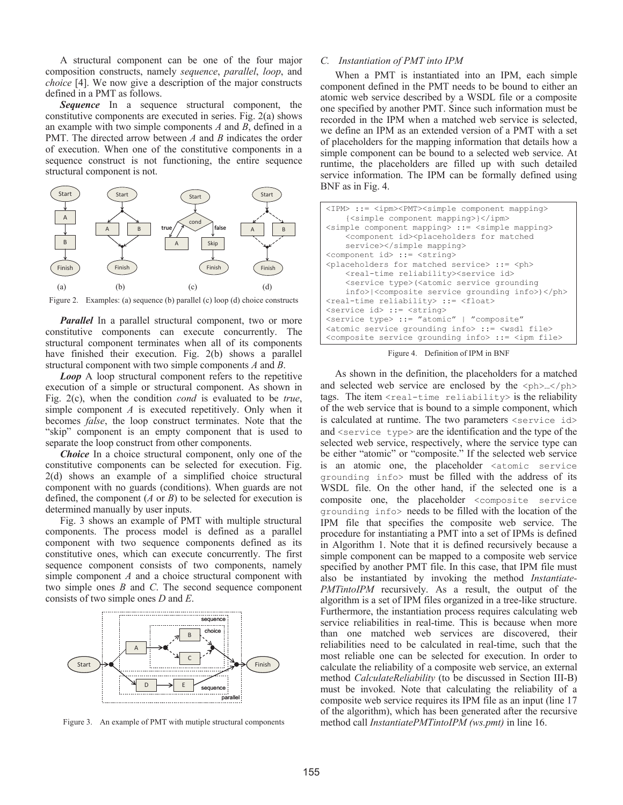A structural component can be one of the four major composition constructs, namely *sequence*, *parallel*, *loop*, and *choice* [4]. We now give a description of the major constructs defined in a PMT as follows.

*Sequence* In a sequence structural component, the constitutive components are executed in series. Fig. 2(a) shows an example with two simple components *A* and *B*, defined in a PMT. The directed arrow between *A* and *B* indicates the order of execution. When one of the constitutive components in a sequence construct is not functioning, the entire sequence structural component is not.



Figure 2. Examples: (a) sequence (b) parallel (c) loop (d) choice constructs

*Parallel* In a parallel structural component, two or more constitutive components can execute concurrently. The structural component terminates when all of its components have finished their execution. Fig. 2(b) shows a parallel structural component with two simple components *A* and *B*.

*Loop* A loop structural component refers to the repetitive execution of a simple or structural component. As shown in Fig. 2(c), when the condition *cond* is evaluated to be *true*, simple component *A* is executed repetitively. Only when it becomes *false*, the loop construct terminates. Note that the "skip" component is an empty component that is used to separate the loop construct from other components.

*Choice* In a choice structural component, only one of the constitutive components can be selected for execution. Fig. 2(d) shows an example of a simplified choice structural component with no guards (conditions). When guards are not defined, the component (*A* or *B*) to be selected for execution is determined manually by user inputs.

Fig. 3 shows an example of PMT with multiple structural components. The process model is defined as a parallel component with two sequence components defined as its constitutive ones, which can execute concurrently. The first sequence component consists of two components, namely simple component *A* and a choice structural component with two simple ones *B* and *C*. The second sequence component consists of two simple ones *D* and *E*.



Figure 3. An example of PMT with mutiple structural components

## *C. Instantiation of PMT into IPM*

When a PMT is instantiated into an IPM, each simple component defined in the PMT needs to be bound to either an atomic web service described by a WSDL file or a composite one specified by another PMT. Since such information must be recorded in the IPM when a matched web service is selected, we define an IPM as an extended version of a PMT with a set of placeholders for the mapping information that details how a simple component can be bound to a selected web service. At runtime, the placeholders are filled up with such detailed service information. The IPM can be formally defined using BNF as in Fig. 4.

| <ipm> ::= <ipm><pmt><simple component="" mapping=""><br/>{<simple component="" mapping="">}</simple></simple></pmt></ipm></ipm> |
|---------------------------------------------------------------------------------------------------------------------------------|
| <simple component="" mapping=""> ::= <simple mapping=""></simple></simple>                                                      |
| <component id=""><placeholders for="" matched<="" td=""></placeholders></component>                                             |
| service>                                                                                                                        |
| <component id=""> ::= <string></string></component>                                                                             |
| <placeholders for="" matched="" service=""> ::= <ph></ph></placeholders>                                                        |
| <real-time reliability=""><service id=""></service></real-time>                                                                 |
| <service type="">(<atomic grounding<="" service="" td=""></atomic></service>                                                    |
| info>  <composite grounding="" info="" service="">)</composite>                                                                 |
| <real-time reliability=""> ::= <float></float></real-time>                                                                      |
| <service id=""> ::= <string></string></service>                                                                                 |
| <service type=""> ::= "atomic"   "composite"</service>                                                                          |
| <atomic grounding="" info="" service=""> ::= <wsdl file=""></wsdl></atomic>                                                     |
| <composite grounding="" info="" service=""> ::= <ipm file=""></ipm></composite>                                                 |

Figure 4. Definition of IPM in BNF

As shown in the definition, the placeholders for a matched and selected web service are enclosed by the  $\langle \text{ph}\rangle$ ... $\langle \text{ph}\rangle$ tags. The item  $\le$ real-time reliability is the reliability of the web service that is bound to a simple component, which is calculated at runtime. The two parameters <service id> and <service type> are the identification and the type of the selected web service, respectively, where the service type can be either "atomic" or "composite." If the selected web service is an atomic one, the placeholder <atomic service grounding info> must be filled with the address of its WSDL file. On the other hand, if the selected one is a composite one, the placeholder <composite service grounding info> needs to be filled with the location of the IPM file that specifies the composite web service. The procedure for instantiating a PMT into a set of IPMs is defined in Algorithm 1. Note that it is defined recursively because a simple component can be mapped to a composite web service specified by another PMT file. In this case, that IPM file must also be instantiated by invoking the method *Instantiate-PMTintoIPM* recursively. As a result, the output of the algorithm is a set of IPM files organized in a tree-like structure. Furthermore, the instantiation process requires calculating web service reliabilities in real-time. This is because when more than one matched web services are discovered, their reliabilities need to be calculated in real-time, such that the most reliable one can be selected for execution. In order to calculate the reliability of a composite web service, an external method *CalculateReliability* (to be discussed in Section III-B) must be invoked. Note that calculating the reliability of a composite web service requires its IPM file as an input (line 17 of the algorithm), which has been generated after the recursive method call *InstantiatePMTintoIPM (ws.pmt)* in line 16.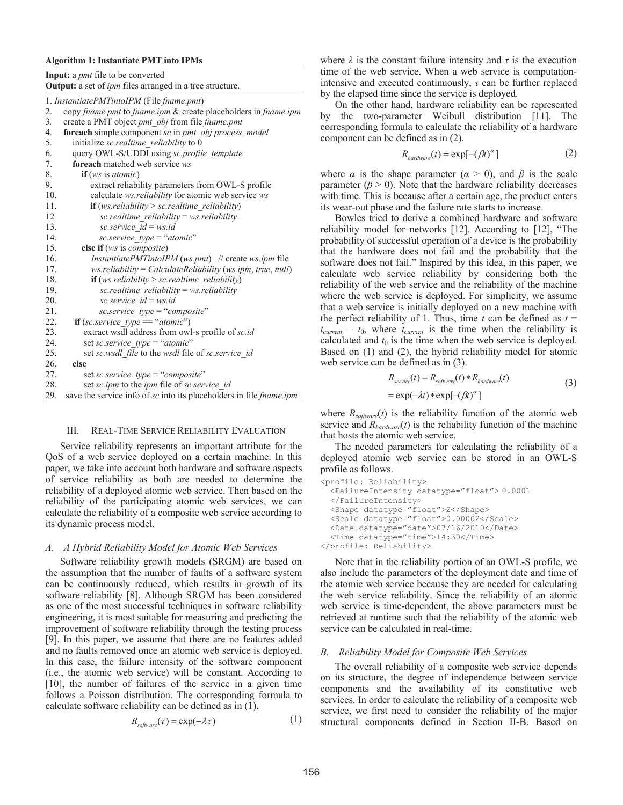#### **Algorithm 1: Instantiate PMT into IPMs**

**Input:** a *pmt* file to be converted **Output:** a set of *ipm* files arranged in a tree structure.

|     | 1. InstantiatePMTintoIPM (File fname.pmt)                                  |
|-----|----------------------------------------------------------------------------|
| 2.  | copy fname.pmt to fname.ipm & create placeholders in fname.ipm             |
| 3.  | create a PMT object pmt obj from file fname.pmt                            |
| 4.  | foreach simple component sc in pmt obj.process model                       |
| 5.  | initialize sc.realtime reliability to 0                                    |
| 6.  | query OWL-S/UDDI using sc.profile template                                 |
| 7.  | <b>foreach</b> matched web service ws                                      |
| 8.  | if (ws is atomic)                                                          |
| 9.  | extract reliability parameters from OWL-S profile                          |
| 10. | calculate ws.reliability for atomic web service ws                         |
| 11. | <b>if</b> (ws.reliability > sc.realtime reliability)                       |
| 12  | $sc.$ realtime reliability = ws. reliability                               |
| 13. | sc.service $id = ws.id$                                                    |
| 14. | sc.service $type = "atomic"$                                               |
| 15. | else if (ws is composite)                                                  |
| 16. | <i>InstantiatePMTintoIPM</i> (ws.pmt) // create ws.ipm file                |
| 17. | $ws$ <i>reliability</i> = <i>CalculateReliability</i> (ws.ipm, true, null) |
| 18. | if $(ws. reliability > sc.relative reliability)$                           |
| 19. | sc.realtime reliability = ws.reliability                                   |
| 20. | sc.service $id = ws.id$                                                    |
| 21. | sc.service_type = "composite"                                              |
| 22. | if $(sc.service type == "atomic")$                                         |
| 23. | extract wsdl address from owl-s profile of sc.id                           |
| 24. | set sc.service type = "atomic"                                             |
| 25. | set sc.wsdl file to the wsdl file of sc.service id                         |
| 26. | else                                                                       |
| 27. | set sc.service type = "composite"                                          |
| 28. | set sc.ipm to the ipm file of sc.service id                                |
| 29. | save the service info of sc into its placeholders in file fname.ipm        |

# III. REAL-TIME SERVICE RELIABILITY EVALUATION

Service reliability represents an important attribute for the QoS of a web service deployed on a certain machine. In this paper, we take into account both hardware and software aspects of service reliability as both are needed to determine the reliability of a deployed atomic web service. Then based on the reliability of the participating atomic web services, we can calculate the reliability of a composite web service according to its dynamic process model.

## *A. A Hybrid Reliability Model for Atomic Web Services*

Software reliability growth models (SRGM) are based on the assumption that the number of faults of a software system can be continuously reduced, which results in growth of its software reliability [8]. Although SRGM has been considered as one of the most successful techniques in software reliability engineering, it is most suitable for measuring and predicting the improvement of software reliability through the testing process [9]. In this paper, we assume that there are no features added and no faults removed once an atomic web service is deployed. In this case, the failure intensity of the software component (i.e., the atomic web service) will be constant. According to [10], the number of failures of the service in a given time follows a Poisson distribution. The corresponding formula to calculate software reliability can be defined as in (1).

$$
R_{\text{software}}(\tau) = \exp(-\lambda \tau) \tag{1}
$$

where  $\lambda$  is the constant failure intensity and  $\tau$  is the execution time of the web service. When a web service is computationintensive and executed continuously,  $\tau$  can be further replaced by the elapsed time since the service is deployed.

On the other hand, hardware reliability can be represented by the two-parameter Weibull distribution [11]. The corresponding formula to calculate the reliability of a hardware component can be defined as in (2).

$$
R_{\text{hardware}}(t) = \exp[-(\beta t)^{\alpha}] \tag{2}
$$

where  $\alpha$  is the shape parameter ( $\alpha > 0$ ), and  $\beta$  is the scale parameter  $(\beta > 0)$ . Note that the hardware reliability decreases with time. This is because after a certain age, the product enters its wear-out phase and the failure rate starts to increase.

Bowles tried to derive a combined hardware and software reliability model for networks [12]. According to [12], "The probability of successful operation of a device is the probability that the hardware does not fail and the probability that the software does not fail." Inspired by this idea, in this paper, we calculate web service reliability by considering both the reliability of the web service and the reliability of the machine where the web service is deployed. For simplicity, we assume that a web service is initially deployed on a new machine with the perfect reliability of 1. Thus, time  $t$  can be defined as  $t =$  $t_{current} - t_0$ , where  $t_{current}$  is the time when the reliability is calculated and  $t_0$  is the time when the web service is deployed. Based on (1) and (2), the hybrid reliability model for atomic web service can be defined as in (3).

$$
R_{service}(t) = R_{software}(t) * R_{hardware}(t)
$$
  
= exp(- $\lambda t$ ) \* exp[-( $\beta t$ )<sup>α</sup>] (3)

where  $R_{\text{softmax}}(t)$  is the reliability function of the atomic web service and  $R_{\text{hardware}}(t)$  is the reliability function of the machine that hosts the atomic web service.

The needed parameters for calculating the reliability of a deployed atomic web service can be stored in an OWL-S profile as follows.

```
<profile: Reliability> 
   <FailureIntensity datatype="float"> 0.0001
   </FailureIntensity> 
   <Shape datatype="float">2</Shape> 
   <Scale datatype="float">0.00002</Scale> 
   <Date datatype="date">07/16/2010</Date> 
   <Time datatype="time">14:30</Time> 
</profile: Reliability>
```
Note that in the reliability portion of an OWL-S profile, we also include the parameters of the deployment date and time of the atomic web service because they are needed for calculating the web service reliability. Since the reliability of an atomic web service is time-dependent, the above parameters must be retrieved at runtime such that the reliability of the atomic web service can be calculated in real-time.

## *B. Reliability Model for Composite Web Services*

The overall reliability of a composite web service depends on its structure, the degree of independence between service components and the availability of its constitutive web services. In order to calculate the reliability of a composite web service, we first need to consider the reliability of the major structural components defined in Section II-B. Based on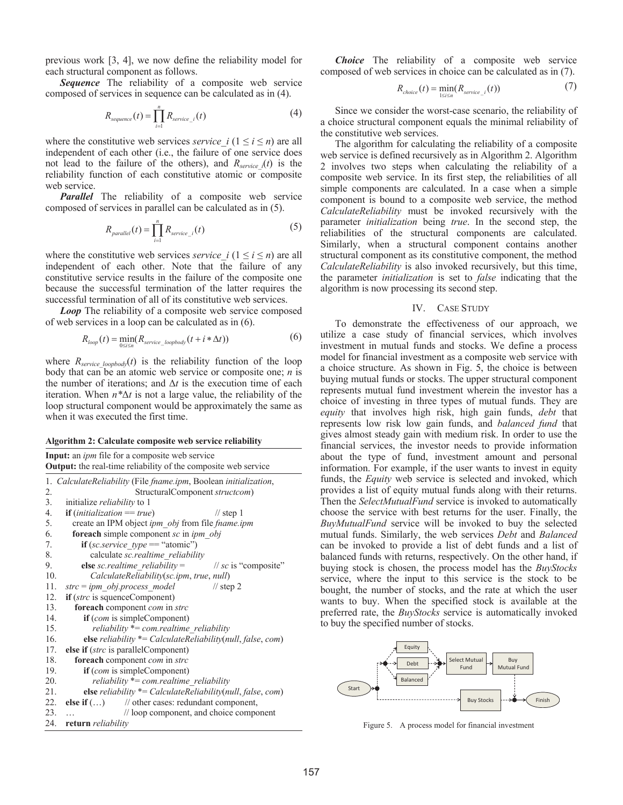previous work [3, 4], we now define the reliability model for each structural component as follows.

*Sequence* The reliability of a composite web service composed of services in sequence can be calculated as in (4).

$$
R_{sequence}(t) = \prod_{i=1}^{n} R_{service_{i}}(t)
$$
\n(4)

where the constitutive web services *service*  $i (1 \le i \le n)$  are all independent of each other (i.e., the failure of one service does not lead to the failure of the others), and  $R_{service i}(t)$  is the reliability function of each constitutive atomic or composite web service.

*Parallel* The reliability of a composite web service composed of services in parallel can be calculated as in (5).

$$
R_{parallel}(t) = \prod_{i=1}^{n} R_{service_{i}}(t)
$$
\n(5)

where the constitutive web services *service*  $i (1 \le i \le n)$  are all independent of each other. Note that the failure of any constitutive service results in the failure of the composite one because the successful termination of the latter requires the successful termination of all of its constitutive web services.

*Loop* The reliability of a composite web service composed of web services in a loop can be calculated as in (6).

$$
R_{loop}(t) = \min_{0 \le i \le n} (R_{service\_loopbody}(t + i * \Delta t))
$$
\n(6)

where  $R_{service\_loopbody}(t)$  is the reliability function of the loop body that can be an atomic web service or composite one; *n* is the number of iterations; and  $\Delta t$  is the execution time of each iteration. When  $n^*\Delta t$  is not a large value, the reliability of the loop structural component would be approximately the same as when it was executed the first time.

**Algorithm 2: Calculate composite web service reliability** 

**Input:** an *ipm* file for a composite web service

**Output:** the real-time reliability of the composite web service 1. *CalculateReliability* (File *fname.ipm*, Boolean *initialization*, 2. StructuralComponent *structcom*)<br>3. initialize *reliability* to 1 3. initialize *reliability* to 1 4. **if** (*initialization* == *true*) // step 1 5. create an IPM object *ipm\_obj* from file *fname.ipm*

| --- |  |                                        |  |
|-----|--|----------------------------------------|--|
|     |  | foresch simple component so in inm obj |  |

6. **foreach** simple component *sc* in <br>7. **if** (*sc. service type* == "atomic **if** (*sc.service*  $type =$  "atomic")

- 
- 8. calculate *sc.realtime\_reliability*

```
9. else sc.realtime_reliability = // sc is "composite"
```

```
10. CalculateReliability(sc.ipm, true, null)
```

```
11. strc = ipm_obj.process_model // step 2
```

```
12. if (strc is squenceComponent) 
13. foreach component com in strc
```

```
14. if (com is simpleComponent)
```

```
15. reliability *= com.realtime_reliability
```

```
16. else reliability *= CalculateReliability(null, false, com)
```

```
17. else if (strc is parallelComponent)
```
- 18. **foreach** component *com* in *strc*
- 19. **if** (*com* is simpleComponent)
- 20. *reliability* \*= *com.realtime\_reliability*
- 21. **else** *reliability* \*= *CalculateReliability(null, false, com*)<br>22. **else if** (...) // other cases: redundant component,
- else if  $(...)$  // other cases: redundant component, 23. … // loop component, and choice component
- 24. **return** *reliability*

*Choice* The reliability of a composite web service composed of web services in choice can be calculated as in (7).

$$
R_{choice}(t) = \min_{1 \le i \le n} (R_{service_i}(t))
$$
\n<sup>(7)</sup>

Since we consider the worst-case scenario, the reliability of a choice structural component equals the minimal reliability of the constitutive web services.

The algorithm for calculating the reliability of a composite web service is defined recursively as in Algorithm 2. Algorithm 2 involves two steps when calculating the reliability of a composite web service. In its first step, the reliabilities of all simple components are calculated. In a case when a simple component is bound to a composite web service, the method *CalculateReliability* must be invoked recursively with the parameter *initialization* being *true*. In the second step, the reliabilities of the structural components are calculated. Similarly, when a structural component contains another structural component as its constitutive component, the method *CalculateReliability* is also invoked recursively, but this time, the parameter *initialization* is set to *false* indicating that the algorithm is now processing its second step.

## IV. CASE STUDY

To demonstrate the effectiveness of our approach, we utilize a case study of financial services, which involves investment in mutual funds and stocks. We define a process model for financial investment as a composite web service with a choice structure. As shown in Fig. 5, the choice is between buying mutual funds or stocks. The upper structural component represents mutual fund investment wherein the investor has a choice of investing in three types of mutual funds. They are *equity* that involves high risk, high gain funds, *debt* that represents low risk low gain funds, and *balanced fund* that gives almost steady gain with medium risk. In order to use the financial services, the investor needs to provide information about the type of fund, investment amount and personal information. For example, if the user wants to invest in equity funds, the *Equity* web service is selected and invoked, which provides a list of equity mutual funds along with their returns. Then the *SelectMutualFund* service is invoked to automatically choose the service with best returns for the user. Finally, the *BuyMutualFund* service will be invoked to buy the selected mutual funds. Similarly, the web services *Debt* and *Balanced* can be invoked to provide a list of debt funds and a list of balanced funds with returns, respectively. On the other hand, if buying stock is chosen, the process model has the *BuyStocks* service, where the input to this service is the stock to be bought, the number of stocks, and the rate at which the user wants to buy. When the specified stock is available at the preferred rate, the *BuyStocks* service is automatically invoked to buy the specified number of stocks.



Figure 5. A process model for financial investment